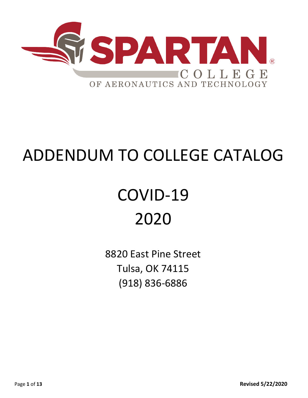

# ADDENDUM TO COLLEGE CATALOG

# COVID-19 2020

8820 East Pine Street Tulsa, OK 74115 (918) 836-6886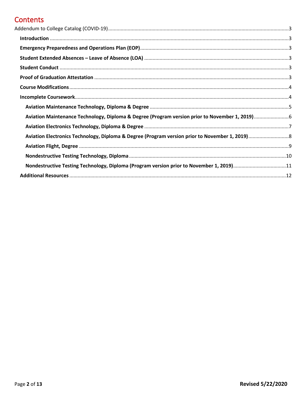## **Contents**

| Aviation Maintenance Technology, Diploma & Degree (Program version prior to November 1, 2019)6 |  |
|------------------------------------------------------------------------------------------------|--|
|                                                                                                |  |
|                                                                                                |  |
|                                                                                                |  |
|                                                                                                |  |
| Nondestructive Testing Technology, Diploma (Program version prior to November 1, 2019)11       |  |
|                                                                                                |  |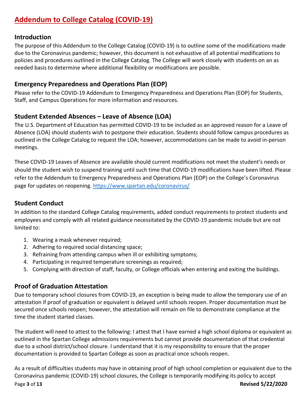# <span id="page-2-0"></span>**Addendum to College Catalog (COVID-19)**

#### <span id="page-2-1"></span>**Introduction**

The purpose of this Addendum to the College Catalog (COVID-19) is to outline some of the modifications made due to the Coronavirus pandemic; however, this document is not exhaustive of all potential modifications to policies and procedures outlined in the College Catalog. The College will work closely with students on an as needed basis to determine where additional flexibility or modifications are possible.

## <span id="page-2-2"></span>**Emergency Preparedness and Operations Plan (EOP)**

Please refer to the COVID-19 Addendum to Emergency Preparedness and Operations Plan (EOP) for Students, Staff, and Campus Operations for more information and resources.

## <span id="page-2-3"></span>**Student Extended Absences – Leave of Absence (LOA)**

The U.S. Department of Education has permitted COVID-19 to be included as an approved reason for a Leave of Absence (LOA) should students wish to postpone their education. Students should follow campus procedures as outlined in the College Catalog to request the LOA; however, accommodations can be made to avoid in-person meetings.

These COVID-19 Leaves of Absence are available should current modifications not meet the student's needs or should the student wish to suspend training until such time that COVID-19 modifications have been lifted. Please refer to the Addendum to Emergency Preparedness and Operations Plan (EOP) on the College's Coronavirus page for updates on reopening.<https://www.spartan.edu/coronavirus/>

## <span id="page-2-4"></span>**Student Conduct**

In addition to the standard College Catalog requirements, added conduct requirements to protect students and employees and comply with all related guidance necessitated by the COVID-19 pandemic include but are not limited to:

- 1. Wearing a mask whenever required;
- 2. Adhering to required social distancing space;
- 3. Refraining from attending campus when ill or exhibiting symptoms;
- 4. Participating in required temperature screenings as required;
- 5. Complying with direction of staff, faculty, or College officials when entering and exiting the buildings.

## <span id="page-2-5"></span>**Proof of Graduation Attestation**

Due to temporary school closures from COVID-19, an exception is being made to allow the temporary use of an attestation if proof of graduation or equivalent is delayed until schools reopen. Proper documentation must be secured once schools reopen; however, the attestation will remain on file to demonstrate compliance at the time the student started classes.

The student will need to attest to the following: I attest that I have earned a high school diploma or equivalent as outlined in the Spartan College admissions requirements but cannot provide documentation of that credential due to a school district/school closure. I understand that it is my responsibility to ensure that the proper documentation is provided to Spartan College as soon as practical once schools reopen.

Page **3** of **13 Revised 5/22/2020** As a result of difficulties students may have in obtaining proof of high school completion or equivalent due to the Coronavirus pandemic (COVID-19) school closures, the College is temporarily modifying its policy to accept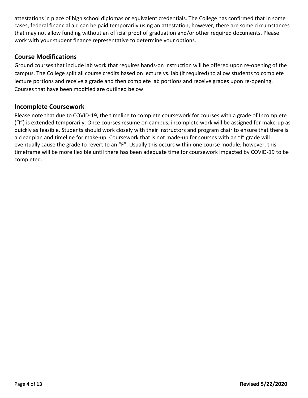attestations in place of high school diplomas or equivalent credentials. The College has confirmed that in some cases, federal financial aid can be paid temporarily using an attestation; however, there are some circumstances that may not allow funding without an official proof of graduation and/or other required documents. Please work with your student finance representative to determine your options.

#### <span id="page-3-0"></span>**Course Modifications**

Ground courses that include lab work that requires hands-on instruction will be offered upon re-opening of the campus. The College split all course credits based on lecture vs. lab (if required) to allow students to complete lecture portions and receive a grade and then complete lab portions and receive grades upon re-opening. Courses that have been modified are outlined below.

#### <span id="page-3-1"></span>**Incomplete Coursework**

Please note that due to COVID-19, the timeline to complete coursework for courses with a grade of Incomplete ("I") is extended temporarily. Once courses resume on campus, incomplete work will be assigned for make-up as quickly as feasible. Students should work closely with their instructors and program chair to ensure that there is a clear plan and timeline for make-up. Coursework that is not made-up for courses with an "I" grade will eventually cause the grade to revert to an "F". Usually this occurs within one course module; however, this timeframe will be more flexible until there has been adequate time for coursework impacted by COVID-19 to be completed.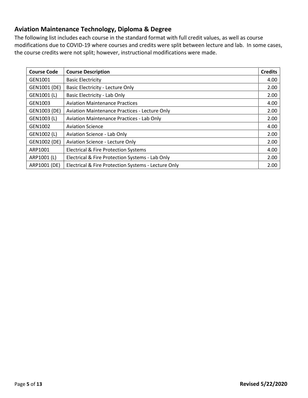## <span id="page-4-0"></span>**Aviation Maintenance Technology, Diploma & Degree**

| <b>Course Code</b> | <b>Course Description</b>                           | <b>Credits</b> |
|--------------------|-----------------------------------------------------|----------------|
| GEN1001            | <b>Basic Electricity</b>                            | 4.00           |
| GEN1001 (DE)       | Basic Electricity - Lecture Only                    | 2.00           |
| GEN1001 (L)        | Basic Electricity - Lab Only                        | 2.00           |
| GEN1003            | <b>Aviation Maintenance Practices</b>               | 4.00           |
| GEN1003 (DE)       | Aviation Maintenance Practices - Lecture Only       | 2.00           |
| GEN1003 (L)        | <b>Aviation Maintenance Practices - Lab Only</b>    | 2.00           |
| GEN1002            | <b>Aviation Science</b>                             | 4.00           |
| GEN1002 (L)        | <b>Aviation Science - Lab Only</b>                  | 2.00           |
| GEN1002 (DE)       | Aviation Science - Lecture Only                     | 2.00           |
| ARP1001            | <b>Electrical &amp; Fire Protection Systems</b>     | 4.00           |
| ARP1001 (L)        | Electrical & Fire Protection Systems - Lab Only     | 2.00           |
| ARP1001 (DE)       | Electrical & Fire Protection Systems - Lecture Only | 2.00           |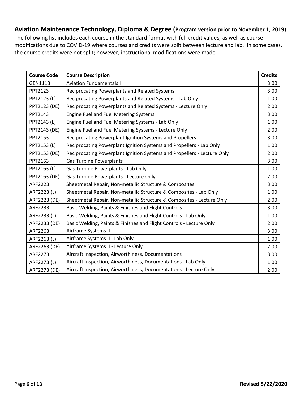### <span id="page-5-0"></span>**Aviation Maintenance Technology, Diploma & Degree (Program version prior to November 1, 2019)**

| <b>Course Code</b> | <b>Course Description</b>                                               | <b>Credits</b> |
|--------------------|-------------------------------------------------------------------------|----------------|
| GEN1113            | <b>Aviation Fundamentals I</b>                                          | 3.00           |
| PPT2123            | Reciprocating Powerplants and Related Systems                           | 3.00           |
| PPT2123 (L)        | Reciprocating Powerplants and Related Systems - Lab Only                | 1.00           |
| PPT2123 (DE)       | Reciprocating Powerplants and Related Systems - Lecture Only            | 2.00           |
| PPT2143            | <b>Engine Fuel and Fuel Metering Systems</b>                            | 3.00           |
| PPT2143 (L)        | Engine Fuel and Fuel Metering Systems - Lab Only                        | 1.00           |
| PPT2143 (DE)       | Engine Fuel and Fuel Metering Systems - Lecture Only                    | 2.00           |
| PPT2153            | Reciprocating Powerplant Ignition Systems and Propellers                | 3.00           |
| PPT2153 (L)        | Reciprocating Powerplant Ignition Systems and Propellers - Lab Only     | 1.00           |
| PPT2153 (DE)       | Reciprocating Powerplant Ignition Systems and Propellers - Lecture Only | 2.00           |
| PPT2163            | <b>Gas Turbine Powerplants</b>                                          | 3.00           |
| PPT2163 (L)        | Gas Turbine Powerplants - Lab Only                                      | 1.00           |
| PPT2163 (DE)       | Gas Turbine Powerplants - Lecture Only                                  | 2.00           |
| ARF2223            | Sheetmetal Repair, Non-metallic Structure & Composites                  | 3.00           |
| ARF2223 (L)        | Sheetmetal Repair, Non-metallic Structure & Composites - Lab Only       | 1.00           |
| ARF2223 (DE)       | Sheetmetal Repair, Non-metallic Structure & Composites - Lecture Only   | 2.00           |
| ARF2233            | Basic Welding, Paints & Finishes and Flight Controls                    | 3.00           |
| ARF2233 (L)        | Basic Welding, Paints & Finishes and Flight Controls - Lab Only         | 1.00           |
| ARF2233 (DE)       | Basic Welding, Paints & Finishes and Flight Controls - Lecture Only     | 2.00           |
| ARF2263            | Airframe Systems II                                                     | 3.00           |
| ARF2263 (L)        | Airframe Systems II - Lab Only                                          | 1.00           |
| ARF2263 (DE)       | Airframe Systems II - Lecture Only                                      | 2.00           |
| ARF2273            | Aircraft Inspection, Airworthiness, Documentations                      | 3.00           |
| ARF2273 (L)        | Aircraft Inspection, Airworthiness, Documentations - Lab Only           | 1.00           |
| ARF2273 (DE)       | Aircraft Inspection, Airworthiness, Documentations - Lecture Only       | 2.00           |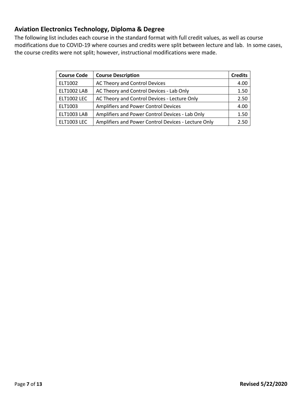## <span id="page-6-0"></span>**Aviation Electronics Technology, Diploma & Degree**

| <b>Course Code</b> | <b>Course Description</b>                           | <b>Credits</b> |
|--------------------|-----------------------------------------------------|----------------|
| ELT1002            | AC Theory and Control Devices                       | 4.00           |
| <b>ELT1002 LAB</b> | AC Theory and Control Devices - Lab Only            | 1.50           |
| <b>ELT1002 LEC</b> | AC Theory and Control Devices - Lecture Only        | 2.50           |
| ELT1003            | Amplifiers and Power Control Devices                | 4.00           |
| <b>ELT1003 LAB</b> | Amplifiers and Power Control Devices - Lab Only     | 1.50           |
| <b>ELT1003 LEC</b> | Amplifiers and Power Control Devices - Lecture Only | 2.50           |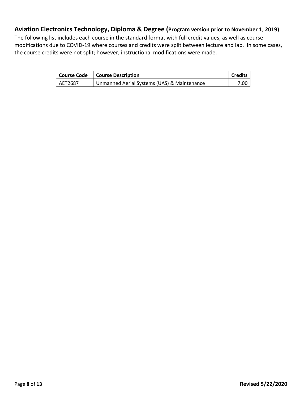## <span id="page-7-0"></span>**Aviation Electronics Technology, Diploma & Degree (Program version prior to November 1, 2019)**

| <b>Course Code</b> | <b>Course Description</b>                   | Credits |
|--------------------|---------------------------------------------|---------|
| AET2687            | Unmanned Aerial Systems (UAS) & Maintenance | 7.00    |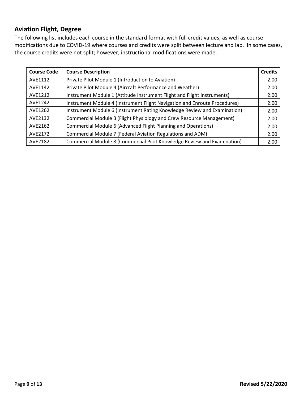### <span id="page-8-0"></span>**Aviation Flight, Degree**

| <b>Course Code</b> | <b>Course Description</b>                                                 | <b>Credits</b> |
|--------------------|---------------------------------------------------------------------------|----------------|
| AVE1112            | Private Pilot Module 1 (Introduction to Aviation)                         | 2.00           |
| AVE1142            | Private Pilot Module 4 (Aircraft Performance and Weather)                 | 2.00           |
| AVE1212            | Instrument Module 1 (Attitude Instrument Flight and Flight Instruments)   | 2.00           |
| AVE1242            | Instrument Module 4 (Instrument Flight Navigation and Enroute Procedures) | 2.00           |
| AVE1262            | Instrument Module 6 (Instrument Rating Knowledge Review and Examination)  | 2.00           |
| AVE2132            | Commercial Module 3 (Flight Physiology and Crew Resource Management)      | 2.00           |
| AVE2162            | Commercial Module 6 (Advanced Flight Planning and Operations)             | 2.00           |
| AVE2172            | Commercial Module 7 (Federal Aviation Regulations and ADM)                | 2.00           |
| AVE2182            | Commercial Module 8 (Commercial Pilot Knowledge Review and Examination)   | 2.00           |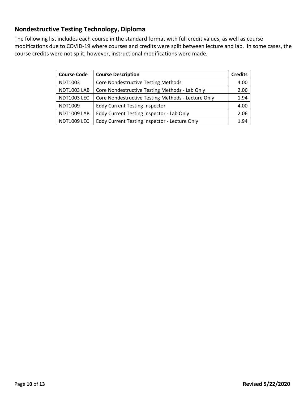## <span id="page-9-0"></span>**Nondestructive Testing Technology, Diploma**

| <b>Course Code</b> | <b>Course Description</b>                          | <b>Credits</b> |
|--------------------|----------------------------------------------------|----------------|
| NDT1003            | <b>Core Nondestructive Testing Methods</b>         | 4.00           |
| <b>NDT1003 LAB</b> | Core Nondestructive Testing Methods - Lab Only     | 2.06           |
| <b>NDT1003 LEC</b> | Core Nondestructive Testing Methods - Lecture Only | 1.94           |
| NDT1009            | <b>Eddy Current Testing Inspector</b>              | 4.00           |
| NDT1009 LAB        | Eddy Current Testing Inspector - Lab Only          | 2.06           |
| <b>NDT1009 LEC</b> | Eddy Current Testing Inspector - Lecture Only      | 1.94           |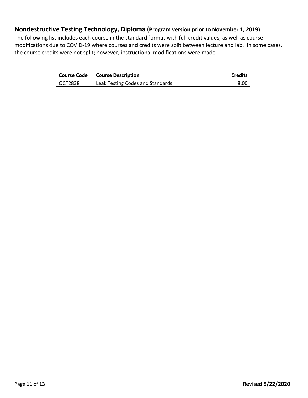### <span id="page-10-0"></span>**Nondestructive Testing Technology, Diploma (Program version prior to November 1, 2019)**

|                | Course Code   Course Description | <b>Credits</b> |
|----------------|----------------------------------|----------------|
| <b>QCT2838</b> | Leak Testing Codes and Standards |                |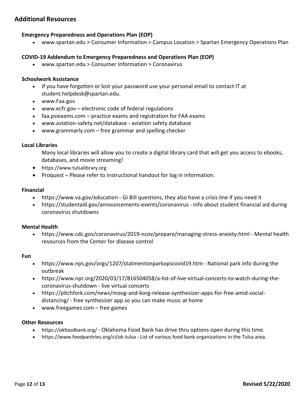#### <span id="page-11-0"></span>**Additional Resources**

#### **Emergency Preparedness and Operations Plan (EOP)**

• www.spartan.edu > Consumer Information > Campus Location > Spartan Emergency Operations Plan

#### **COVID-19 Addendum to Emergency Preparedness and Operations Plan (EOP)**

• www.spartan.edu > Consumer Information > Coronavirus

#### **Schoolwork Assistance**

- If you have forgotten or lost your password use your personal email to contact IT at student.helpdesk@spartan.edu.
- www.Faa.gov
- www.ecfr.gov electronic code of federal regulations
- faa.psiexams.com practice exams and registration for FAA exams
- www.aviation-safety.net/database aviation safety database
- www.grammarly.com free grammar and spelling checker

#### **Local Libraries**

Many local libraries will allow you to create a digital library card that will get you access to ebooks, databases, and movie streaming!

- https://www.tulsalibrary.org
- Proquest Please refer to instructional handout for log in information.

#### **Financial**

- https://www.va.gov/education GI Bill questions, they also have a crisis line if you need it
- https://studentaid.gov/announcements-events/coronavirus info about student financial aid during coronavirus shutdowns

#### **Mental Health**

• https://www.cdc.gov/coronavirus/2019-ncov/prepare/managing-stress-anxiety.html - Mental health resources from the Center for disease control

#### **Fun**

- https://www.nps.gov/orgs/1207/statmentonparkopscovid19.htm National park info during the outbreak
- https://www.npr.org/2020/03/17/816504058/a-list-of-live-virtual-concerts-to-watch-during-thecoronavirus-shutdown - live virtual concerts
- https://pitchfork.com/news/moog-and-korg-release-synthesizer-apps-for-free-amid-socialdistancing/ - free synthesizer app so you can make music at home
- www.freegames.com free games

#### **Other Resources**

- https://okfoodbank.org/ Oklahoma Food Bank has drive thru options open during this time.
- https://www.foodpantries.org/ci/ok-tulsa List of various food bank organizations in the Tulsa area.